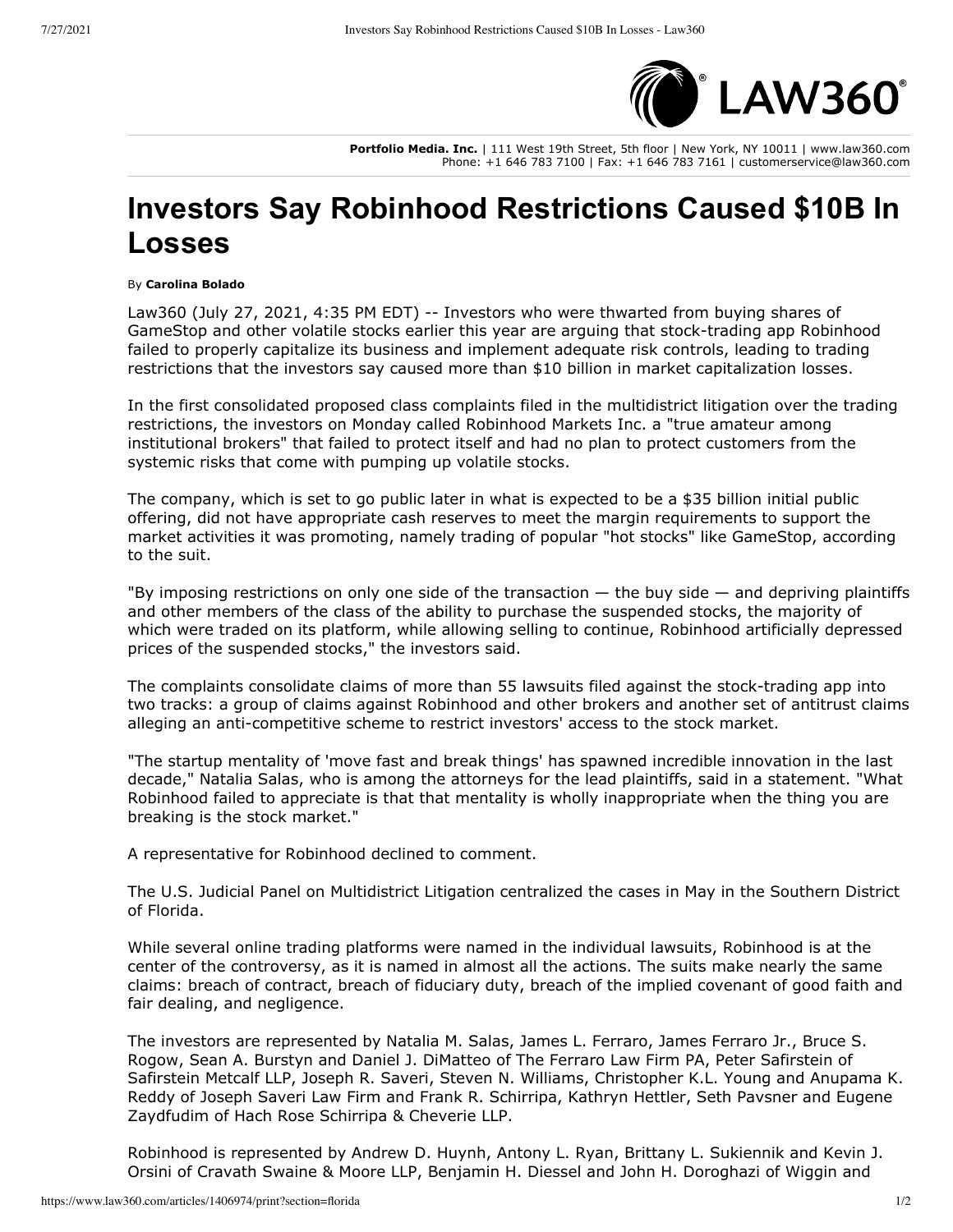

**Portfolio Media. Inc.** | 111 West 19th Street, 5th floor | New York, NY 10011 | www.law360.com Phone: +1 646 783 7100 | Fax: +1 646 783 7161 | customerservice@law360.com

## **Investors Say Robinhood Restrictions Caused \$10B In Losses**

## By **Carolina Bolado**

Law360 (July 27, 2021, 4:35 PM EDT) -- Investors who were thwarted from buying shares of [GameStop](https://www.law360.com/companies/gamestop-corp) and other volatile stocks earlier this year are arguing that stock-trading app Robinhood failed to properly capitalize its business and implement adequate risk controls, leading to trading restrictions that the investors say caused more than \$10 billion in market capitalization losses.

In the first consolidated proposed class complaints filed in the multidistrict litigation over the trading restrictions, the investors on Monday called [Robinhood Markets Inc](https://www.law360.com/companies/robinhood-markets-inc). a "true amateur among institutional brokers" that failed to protect itself and had no plan to protect customers from the systemic risks that come with pumping up volatile stocks.

The company, which is set to go public later in what is expected to be a \$35 billion initial public offering, did not have appropriate cash reserves to meet the margin requirements to support the market activities it was promoting, namely trading of popular "hot stocks" like GameStop, according to the suit.

"By imposing restrictions on only one side of the transaction  $-$  the buy side  $-$  and depriving plaintiffs and other members of the class of the ability to purchase the suspended stocks, the majority of which were traded on its platform, while allowing selling to continue, Robinhood artificially depressed prices of the suspended stocks," the investors said.

The complaints consolidate claims of more than 55 lawsuits filed against the stock-trading app into two tracks: a group of claims against Robinhood and other brokers and another set of antitrust claims alleging an anti-competitive scheme to restrict investors' access to the stock market.

"The startup mentality of 'move fast and break things' has spawned incredible innovation in the last decade," Natalia Salas, who is among the attorneys for the lead plaintiffs, said in a statement. "What Robinhood failed to appreciate is that that mentality is wholly inappropriate when the thing you are breaking is the stock market."

A representative for Robinhood declined to comment.

The U.S. Judicial Panel on Multidistrict Litigation centralized the cases in May in the Southern District of Florida.

While several online trading platforms were named in the individual lawsuits, Robinhood is at the center of the controversy, as it is named in almost all the actions. The suits make nearly the same claims: breach of contract, breach of fiduciary duty, breach of the implied covenant of good faith and fair dealing, and negligence.

The investors are represented by Natalia M. Salas, James L. Ferraro, James Ferraro Jr., Bruce S. Rogow, Sean A. Burstyn and Daniel J. DiMatteo of [The Ferraro Law Firm PA,](https://www.law360.com/firms/ferraro-law-firm) Peter Safirstein of [Safirstein Metcalf LLP,](https://www.law360.com/firms/safirstein-metcalf) Joseph R. Saveri, Steven N. Williams, Christopher K.L. Young and Anupama K. Reddy of [Joseph Saveri Law Firm](https://www.law360.com/firms/joseph-saveri-law-firm) and Frank R. Schirripa, Kathryn Hettler, Seth Pavsner and Eugene Zaydfudim of [Hach Rose Schirripa & Cheverie LLP](https://www.law360.com/firms/hach-rose-schirripa).

Robinhood is represented by Andrew D. Huynh, Antony L. Ryan, Brittany L. Sukiennik and Kevin J. [Orsini of C](https://www.law360.com/firms/wiggin-and-dana)[ravath Swaine & Moore LLP](https://www.law360.com/firms/cravath-swaine)[, Benjamin H. Diessel and John H. Doroghazi of Wiggin and](https://www.law360.com/firms/wiggin-and-dana)